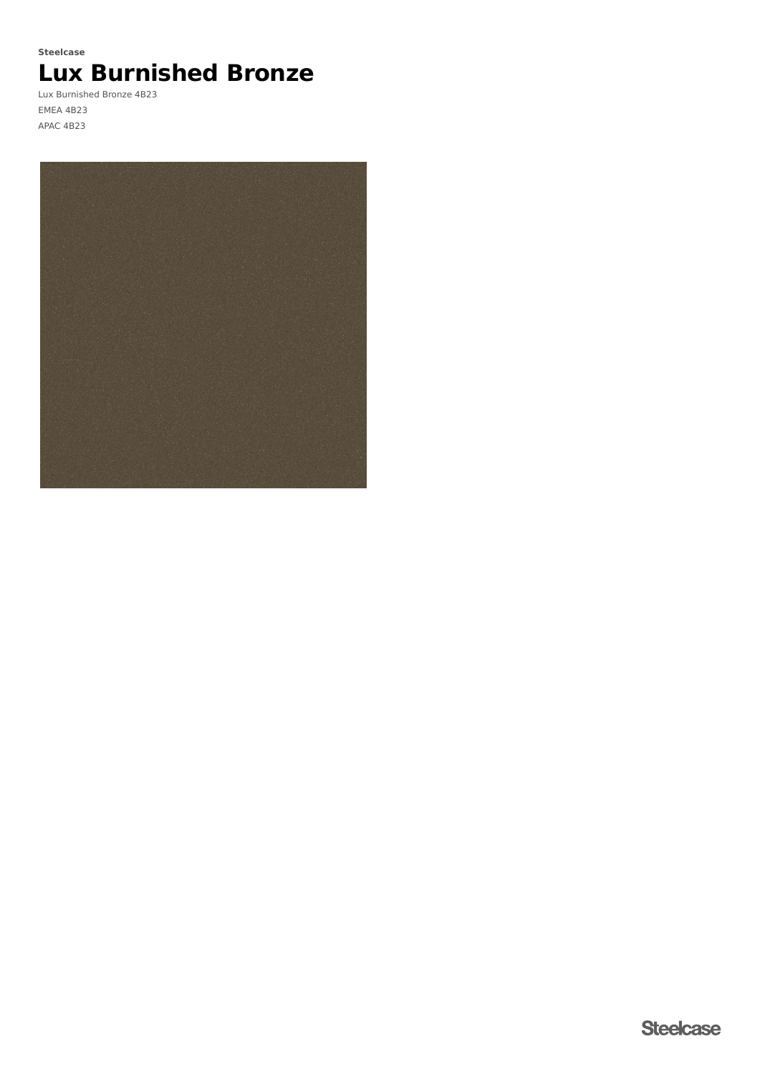### **Steelcase**

# **Lux Burnished Bronze**

Lux Burnished Bronze 4B23 EMEA 4B23 APAC 4B23

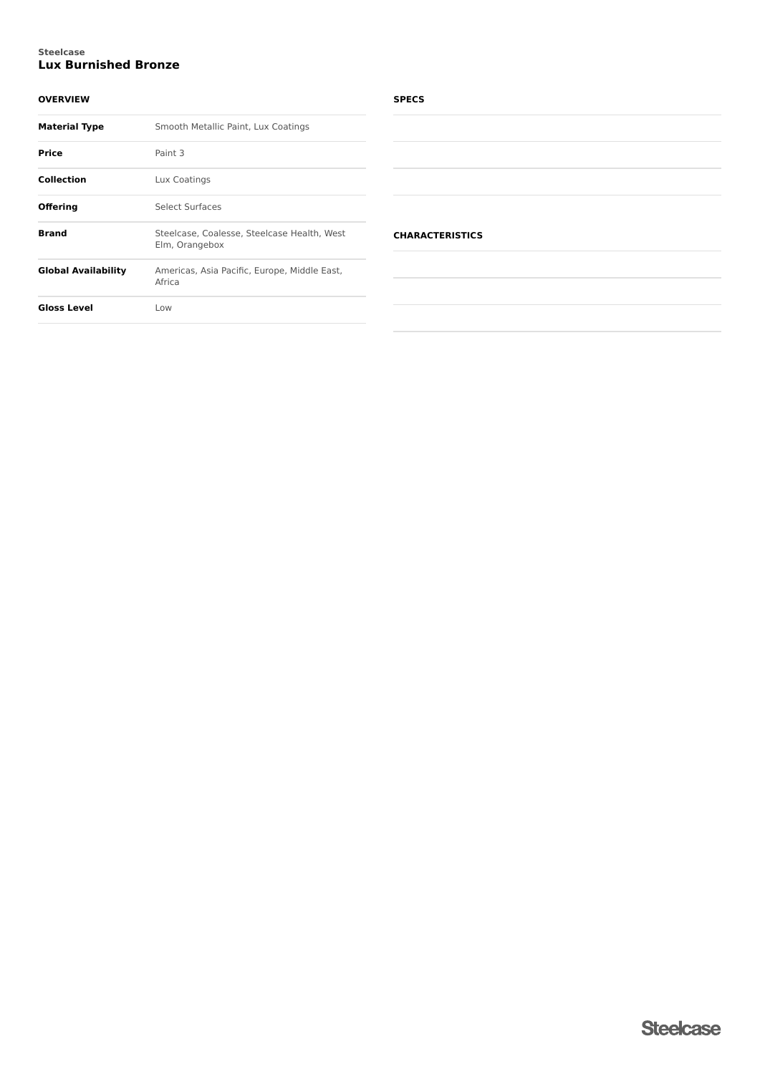#### **Lux Burnished Bronze Steelcase**

#### **OVERVIEW**

| <b>Material Type</b>       | Smooth Metallic Paint, Lux Coatings                           |
|----------------------------|---------------------------------------------------------------|
| Price                      | Paint 3                                                       |
| <b>Collection</b>          | Lux Coatings                                                  |
| Offering                   | Select Surfaces                                               |
| <b>Brand</b>               | Steelcase, Coalesse, Steelcase Health, West<br>Elm, Orangebox |
| <b>Global Availability</b> | Americas, Asia Pacific, Europe, Middle East,<br>Africa        |
| Gloss Level                | Low                                                           |

#### **SPECS**